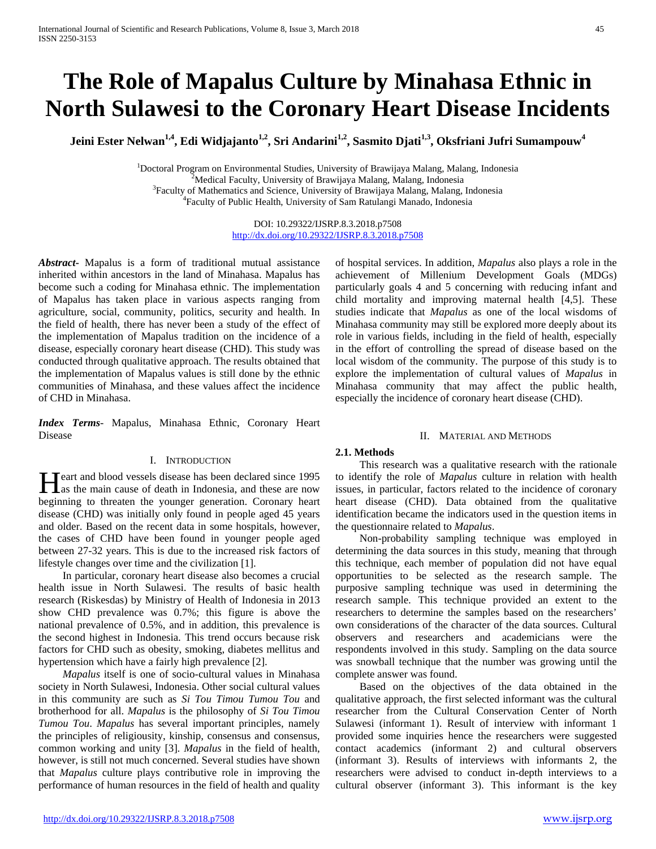# **The Role of Mapalus Culture by Minahasa Ethnic in North Sulawesi to the Coronary Heart Disease Incidents**

Jeini Ester Nelwan<sup>1,4</sup>, Edi Widjajanto<sup>1,2</sup>, Sri Andarini<sup>1,2</sup>, Sasmito Djati<sup>1,3</sup>, Oksfriani Jufri Sumampouw<sup>4</sup>

<sup>1</sup>Doctoral Program on Environmental Studies, University of Brawijaya Malang, Malang, Indonesia<br><sup>2</sup>Mediael Feculty, University of Brawijaya Malang, Malang, Indonesia Medical Faculty, University of Brawijaya Malang, Malang, Indonesia <sup>3</sup> <sup>3</sup>Faculty of Mathematics and Science, University of Brawijaya Malang, Malang, Indonesia Faculty of Public Health, University of Sam Ratulangi Manado, Indonesia

> DOI: 10.29322/IJSRP.8.3.2018.p7508 <http://dx.doi.org/10.29322/IJSRP.8.3.2018.p7508>

*Abstract***-** Mapalus is a form of traditional mutual assistance inherited within ancestors in the land of Minahasa. Mapalus has become such a coding for Minahasa ethnic. The implementation of Mapalus has taken place in various aspects ranging from agriculture, social, community, politics, security and health. In the field of health, there has never been a study of the effect of the implementation of Mapalus tradition on the incidence of a disease, especially coronary heart disease (CHD). This study was conducted through qualitative approach. The results obtained that the implementation of Mapalus values is still done by the ethnic communities of Minahasa, and these values affect the incidence of CHD in Minahasa.

*Index Terms*- Mapalus, Minahasa Ethnic, Coronary Heart Disease

# I. INTRODUCTION

Teart and blood vessels disease has been declared since 1995 **H**eart and blood vessels disease has been declared since 1995 as the main cause of death in Indonesia, and these are now beginning to threaten the younger generation. Coronary heart disease (CHD) was initially only found in people aged 45 years and older. Based on the recent data in some hospitals, however, the cases of CHD have been found in younger people aged between 27-32 years. This is due to the increased risk factors of lifestyle changes over time and the civilization [1].

 In particular, coronary heart disease also becomes a crucial health issue in North Sulawesi. The results of basic health research (Riskesdas) by Ministry of Health of Indonesia in 2013 show CHD prevalence was 0.7%; this figure is above the national prevalence of 0.5%, and in addition, this prevalence is the second highest in Indonesia. This trend occurs because risk factors for CHD such as obesity, smoking, diabetes mellitus and hypertension which have a fairly high prevalence [2].

 *Mapalus* itself is one of socio-cultural values in Minahasa society in North Sulawesi, Indonesia. Other social cultural values in this community are such as *Si Tou Timou Tumou Tou* and brotherhood for all. *Mapalus* is the philosophy of *Si Tou Timou Tumou Tou*. *Mapalus* has several important principles, namely the principles of religiousity, kinship, consensus and consensus, common working and unity [3]. *Mapalus* in the field of health, however, is still not much concerned. Several studies have shown that *Mapalus* culture plays contributive role in improving the performance of human resources in the field of health and quality

of hospital services. In addition, *Mapalus* also plays a role in the achievement of Millenium Development Goals (MDGs) particularly goals 4 and 5 concerning with reducing infant and child mortality and improving maternal health [4,5]. These studies indicate that *Mapalus* as one of the local wisdoms of Minahasa community may still be explored more deeply about its role in various fields, including in the field of health, especially in the effort of controlling the spread of disease based on the local wisdom of the community. The purpose of this study is to explore the implementation of cultural values of *Mapalus* in Minahasa community that may affect the public health, especially the incidence of coronary heart disease (CHD).

## II. MATERIAL AND METHODS

## **2.1. Methods**

 This research was a qualitative research with the rationale to identify the role of *Mapalus* culture in relation with health issues, in particular, factors related to the incidence of coronary heart disease (CHD). Data obtained from the qualitative identification became the indicators used in the question items in the questionnaire related to *Mapalus*.

 Non-probability sampling technique was employed in determining the data sources in this study, meaning that through this technique, each member of population did not have equal opportunities to be selected as the research sample. The purposive sampling technique was used in determining the research sample. This technique provided an extent to the researchers to determine the samples based on the researchers' own considerations of the character of the data sources. Cultural observers and researchers and academicians were the respondents involved in this study. Sampling on the data source was snowball technique that the number was growing until the complete answer was found.

 Based on the objectives of the data obtained in the qualitative approach, the first selected informant was the cultural researcher from the Cultural Conservation Center of North Sulawesi (informant 1). Result of interview with informant 1 provided some inquiries hence the researchers were suggested contact academics (informant 2) and cultural observers (informant 3). Results of interviews with informants 2, the researchers were advised to conduct in-depth interviews to a cultural observer (informant 3). This informant is the key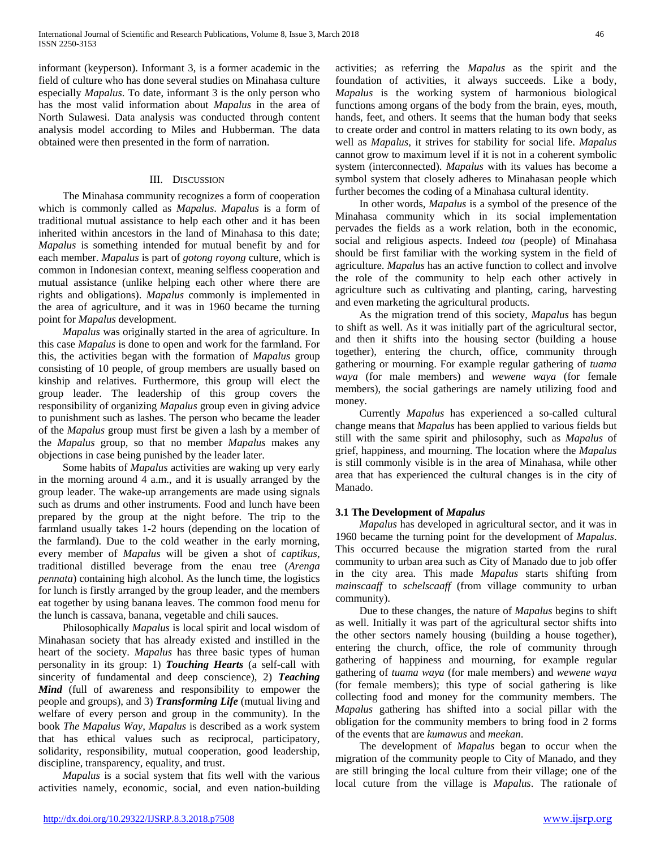informant (keyperson). Informant 3, is a former academic in the field of culture who has done several studies on Minahasa culture especially *Mapalus*. To date, informant 3 is the only person who has the most valid information about *Mapalus* in the area of North Sulawesi. Data analysis was conducted through content analysis model according to Miles and Hubberman. The data obtained were then presented in the form of narration.

## III. DISCUSSION

 The Minahasa community recognizes a form of cooperation which is commonly called as *Mapalus*. *Mapalus* is a form of traditional mutual assistance to help each other and it has been inherited within ancestors in the land of Minahasa to this date; *Mapalus* is something intended for mutual benefit by and for each member. *Mapalus* is part of *gotong royong* culture, which is common in Indonesian context, meaning selfless cooperation and mutual assistance (unlike helping each other where there are rights and obligations). *Mapalus* commonly is implemented in the area of agriculture, and it was in 1960 became the turning point for *Mapalus* development.

 *Mapalus* was originally started in the area of agriculture. In this case *Mapalus* is done to open and work for the farmland. For this, the activities began with the formation of *Mapalus* group consisting of 10 people, of group members are usually based on kinship and relatives. Furthermore, this group will elect the group leader. The leadership of this group covers the responsibility of organizing *Mapalus* group even in giving advice to punishment such as lashes. The person who became the leader of the *Mapalus* group must first be given a lash by a member of the *Mapalus* group, so that no member *Mapalus* makes any objections in case being punished by the leader later.

 Some habits of *Mapalus* activities are waking up very early in the morning around 4 a.m., and it is usually arranged by the group leader. The wake-up arrangements are made using signals such as drums and other instruments. Food and lunch have been prepared by the group at the night before. The trip to the farmland usually takes 1-2 hours (depending on the location of the farmland). Due to the cold weather in the early morning, every member of *Mapalus* will be given a shot of *captikus*, traditional distilled beverage from the enau tree (*Arenga pennata*) containing high alcohol. As the lunch time, the logistics for lunch is firstly arranged by the group leader, and the members eat together by using banana leaves. The common food menu for the lunch is cassava, banana, vegetable and chili sauces.

 Philosophically *Mapalus* is local spirit and local wisdom of Minahasan society that has already existed and instilled in the heart of the society. *Mapalus* has three basic types of human personality in its group: 1) *Touching Hearts* (a self-call with sincerity of fundamental and deep conscience), 2) *Teaching Mind* (full of awareness and responsibility to empower the people and groups), and 3) *Transforming Life* (mutual living and welfare of every person and group in the community). In the book *The Mapalus Way*, *Mapalus* is described as a work system that has ethical values such as reciprocal, participatory, solidarity, responsibility, mutual cooperation, good leadership, discipline, transparency, equality, and trust.

 *Mapalus* is a social system that fits well with the various activities namely, economic, social, and even nation-building activities; as referring the *Mapalus* as the spirit and the foundation of activities, it always succeeds. Like a body, *Mapalus* is the working system of harmonious biological functions among organs of the body from the brain, eyes, mouth, hands, feet, and others. It seems that the human body that seeks to create order and control in matters relating to its own body, as well as *Mapalus*, it strives for stability for social life. *Mapalus* cannot grow to maximum level if it is not in a coherent symbolic system (interconnected). *Mapalus* with its values has become a symbol system that closely adheres to Minahasan people which further becomes the coding of a Minahasa cultural identity.

 In other words, *Mapalus* is a symbol of the presence of the Minahasa community which in its social implementation pervades the fields as a work relation, both in the economic, social and religious aspects. Indeed *tou* (people) of Minahasa should be first familiar with the working system in the field of agriculture. *Mapalus* has an active function to collect and involve the role of the community to help each other actively in agriculture such as cultivating and planting, caring, harvesting and even marketing the agricultural products.

 As the migration trend of this society, *Mapalus* has begun to shift as well. As it was initially part of the agricultural sector, and then it shifts into the housing sector (building a house together), entering the church, office, community through gathering or mourning. For example regular gathering of *tuama waya* (for male members) and *wewene waya* (for female members), the social gatherings are namely utilizing food and money.

 Currently *Mapalus* has experienced a so-called cultural change means that *Mapalus* has been applied to various fields but still with the same spirit and philosophy, such as *Mapalus* of grief, happiness, and mourning. The location where the *Mapalus* is still commonly visible is in the area of Minahasa, while other area that has experienced the cultural changes is in the city of Manado.

## **3.1 The Development of** *Mapalus*

 *Mapalus* has developed in agricultural sector, and it was in 1960 became the turning point for the development of *Mapalus*. This occurred because the migration started from the rural community to urban area such as City of Manado due to job offer in the city area. This made *Mapalus* starts shifting from *mainscaaff* to *schelscaaff* (from village community to urban community).

 Due to these changes, the nature of *Mapalus* begins to shift as well. Initially it was part of the agricultural sector shifts into the other sectors namely housing (building a house together), entering the church, office, the role of community through gathering of happiness and mourning, for example regular gathering of *tuama waya* (for male members) and *wewene waya* (for female members); this type of social gathering is like collecting food and money for the community members. The *Mapalus* gathering has shifted into a social pillar with the obligation for the community members to bring food in 2 forms of the events that are *kumawus* and *meekan*.

 The development of *Mapalus* began to occur when the migration of the community people to City of Manado, and they are still bringing the local culture from their village; one of the local cuture from the village is *Mapalus*. The rationale of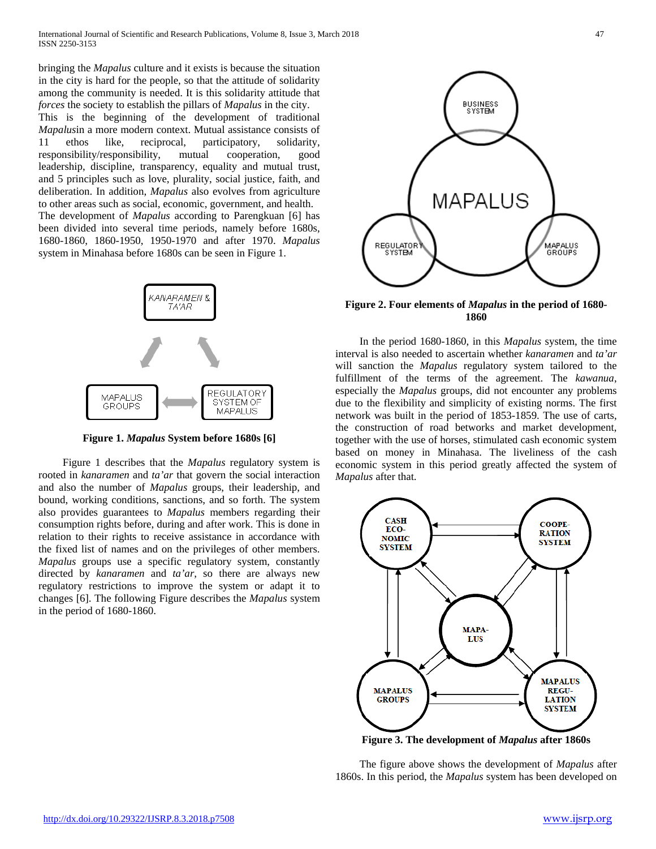bringing the *Mapalus* culture and it exists is because the situation in the city is hard for the people, so that the attitude of solidarity among the community is needed. It is this solidarity attitude that *forces* the society to establish the pillars of *Mapalus* in the city. This is the beginning of the development of traditional *Mapalus*in a more modern context. Mutual assistance consists of 11 ethos like, reciprocal, participatory, solidarity, responsibility/responsibility, mutual cooperation, good leadership, discipline, transparency, equality and mutual trust, and 5 principles such as love, plurality, social justice, faith, and deliberation. In addition, *Mapalus* also evolves from agriculture to other areas such as social, economic, government, and health. The development of *Mapalus* according to Parengkuan [6] has been divided into several time periods, namely before 1680s, 1680-1860, 1860-1950, 1950-1970 and after 1970. *Mapalus* system in Minahasa before 1680s can be seen in Figure 1.



**Figure 1.** *Mapalus* **System before 1680s [6]**

 Figure 1 describes that the *Mapalus* regulatory system is rooted in *kanaramen* and *ta'ar* that govern the social interaction and also the number of *Mapalus* groups, their leadership, and bound, working conditions, sanctions, and so forth. The system also provides guarantees to *Mapalus* members regarding their consumption rights before, during and after work. This is done in relation to their rights to receive assistance in accordance with the fixed list of names and on the privileges of other members. *Mapalus* groups use a specific regulatory system, constantly directed by *kanaramen* and *ta'ar*, so there are always new regulatory restrictions to improve the system or adapt it to changes [6]. The following Figure describes the *Mapalus* system in the period of 1680-1860.



**Figure 2. Four elements of** *Mapalus* **in the period of 1680- 1860**

 In the period 1680-1860, in this *Mapalus* system, the time interval is also needed to ascertain whether *kanaramen* and *ta'ar* will sanction the *Mapalus* regulatory system tailored to the fulfillment of the terms of the agreement. The *kawanua*, especially the *Mapalus* groups, did not encounter any problems due to the flexibility and simplicity of existing norms. The first network was built in the period of 1853-1859. The use of carts, the construction of road betworks and market development, together with the use of horses, stimulated cash economic system based on money in Minahasa. The liveliness of the cash economic system in this period greatly affected the system of *Mapalus* after that.



**Figure 3. The development of** *Mapalus* **after 1860s**

 The figure above shows the development of *Mapalus* after 1860s. In this period, the *Mapalus* system has been developed on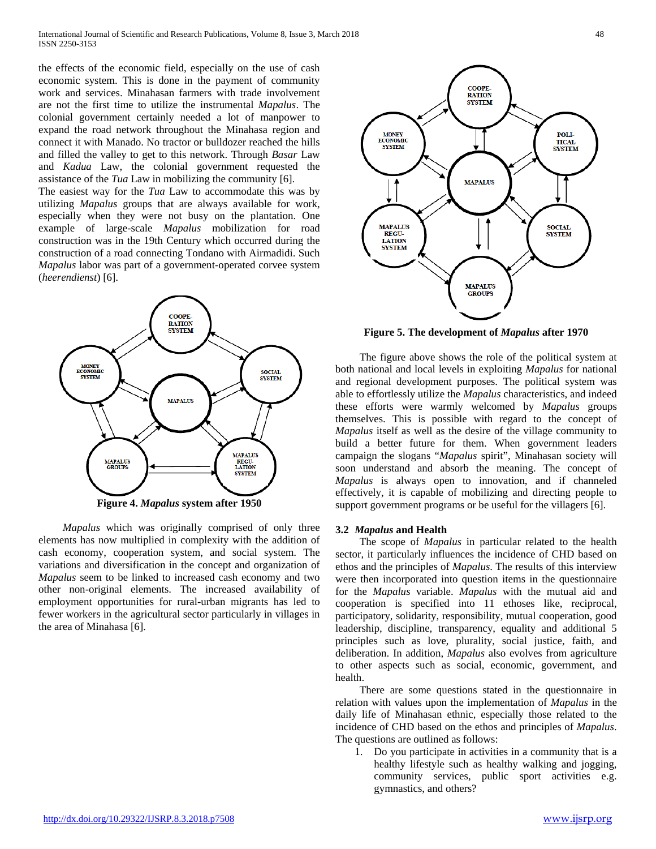the effects of the economic field, especially on the use of cash economic system. This is done in the payment of community work and services. Minahasan farmers with trade involvement are not the first time to utilize the instrumental *Mapalus*. The colonial government certainly needed a lot of manpower to expand the road network throughout the Minahasa region and connect it with Manado. No tractor or bulldozer reached the hills and filled the valley to get to this network. Through *Basar* Law and *Kadua* Law, the colonial government requested the assistance of the *Tua* Law in mobilizing the community [6].

The easiest way for the *Tua* Law to accommodate this was by utilizing *Mapalus* groups that are always available for work, especially when they were not busy on the plantation. One example of large-scale *Mapalus* mobilization for road construction was in the 19th Century which occurred during the construction of a road connecting Tondano with Airmadidi. Such *Mapalus* labor was part of a government-operated corvee system (*heerendienst*) [6].



 *Mapalus* which was originally comprised of only three elements has now multiplied in complexity with the addition of cash economy, cooperation system, and social system. The variations and diversification in the concept and organization of *Mapalus* seem to be linked to increased cash economy and two other non-original elements. The increased availability of employment opportunities for rural-urban migrants has led to fewer workers in the agricultural sector particularly in villages in the area of Minahasa [6].



**Figure 5. The development of** *Mapalus* **after 1970**

 The figure above shows the role of the political system at both national and local levels in exploiting *Mapalus* for national and regional development purposes. The political system was able to effortlessly utilize the *Mapalus* characteristics, and indeed these efforts were warmly welcomed by *Mapalus* groups themselves. This is possible with regard to the concept of *Mapalus* itself as well as the desire of the village community to build a better future for them. When government leaders campaign the slogans "*Mapalus* spirit", Minahasan society will soon understand and absorb the meaning. The concept of *Mapalus* is always open to innovation, and if channeled effectively, it is capable of mobilizing and directing people to support government programs or be useful for the villagers [6].

## **3.2** *Mapalus* **and Health**

 The scope of *Mapalus* in particular related to the health sector, it particularly influences the incidence of CHD based on ethos and the principles of *Mapalus*. The results of this interview were then incorporated into question items in the questionnaire for the *Mapalus* variable. *Mapalus* with the mutual aid and cooperation is specified into 11 ethoses like, reciprocal, participatory, solidarity, responsibility, mutual cooperation, good leadership, discipline, transparency, equality and additional 5 principles such as love, plurality, social justice, faith, and deliberation. In addition, *Mapalus* also evolves from agriculture to other aspects such as social, economic, government, and health.

 There are some questions stated in the questionnaire in relation with values upon the implementation of *Mapalus* in the daily life of Minahasan ethnic, especially those related to the incidence of CHD based on the ethos and principles of *Mapalus*. The questions are outlined as follows:

1. Do you participate in activities in a community that is a healthy lifestyle such as healthy walking and jogging, community services, public sport activities e.g. gymnastics, and others?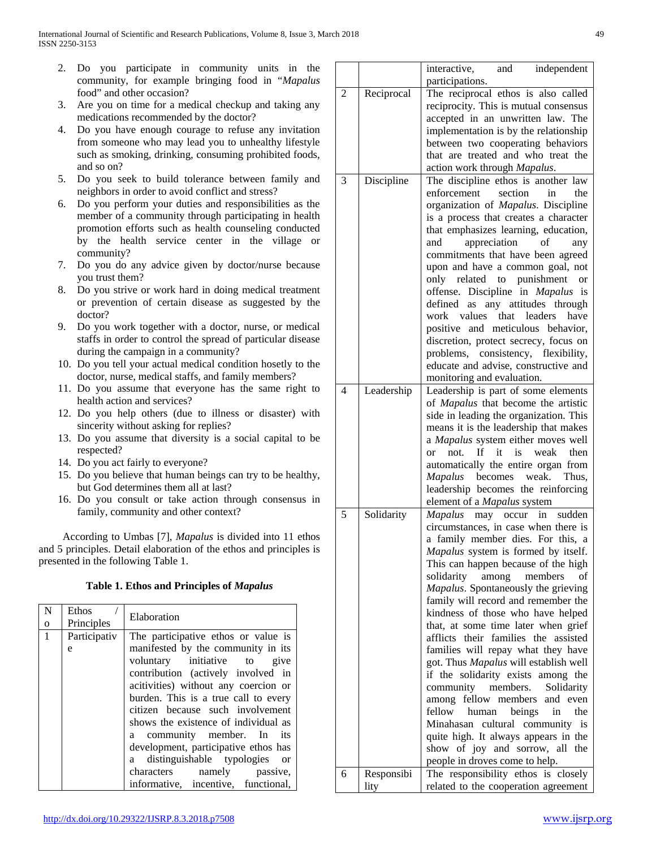- 2. Do you participate in community units in the community, for example bringing food in "*Mapalus* food" and other occasion?
- 3. Are you on time for a medical checkup and taking any medications recommended by the doctor?
- 4. Do you have enough courage to refuse any invitation from someone who may lead you to unhealthy lifestyle such as smoking, drinking, consuming prohibited foods, and so on?
- 5. Do you seek to build tolerance between family and neighbors in order to avoid conflict and stress?
- 6. Do you perform your duties and responsibilities as the member of a community through participating in health promotion efforts such as health counseling conducted by the health service center in the village or community?
- 7. Do you do any advice given by doctor/nurse because you trust them?
- 8. Do you strive or work hard in doing medical treatment or prevention of certain disease as suggested by the doctor?
- 9. Do you work together with a doctor, nurse, or medical staffs in order to control the spread of particular disease during the campaign in a community?
- 10. Do you tell your actual medical condition hosetly to the doctor, nurse, medical staffs, and family members?
- 11. Do you assume that everyone has the same right to health action and services?
- 12. Do you help others (due to illness or disaster) with sincerity without asking for replies?
- 13. Do you assume that diversity is a social capital to be respected?
- 14. Do you act fairly to everyone?
- 15. Do you believe that human beings can try to be healthy, but God determines them all at last?
- 16. Do you consult or take action through consensus in family, community and other context?

 According to Umbas [7], *Mapalus* is divided into 11 ethos and 5 principles. Detail elaboration of the ethos and principles is presented in the following Table 1.

|  |  |  | Table 1. Ethos and Principles of Mapalus |
|--|--|--|------------------------------------------|
|--|--|--|------------------------------------------|

| N            | Ethos        | Elaboration                          |  |
|--------------|--------------|--------------------------------------|--|
| $\mathbf{O}$ | Principles   |                                      |  |
| $\mathbf{1}$ | Participativ | The participative ethos or value is  |  |
|              | e            | manifested by the community in its   |  |
|              |              | voluntary initiative to give         |  |
|              |              | contribution (actively involved in   |  |
|              |              | acitivities) without any coercion or |  |
|              |              | burden. This is a true call to every |  |
|              |              | citizen because such involvement     |  |
|              |              | shows the existence of individual as |  |
|              |              | a community member. In its           |  |
|              |              | development, participative ethos has |  |
|              |              | a distinguishable typologies or      |  |
|              |              | characters namely passive,           |  |
|              |              | informative, incentive, functional,  |  |

|   |            | independent<br>interactive,<br>and                                                |
|---|------------|-----------------------------------------------------------------------------------|
|   |            | participations.                                                                   |
| 2 | Reciprocal | The reciprocal ethos is also called                                               |
|   |            | reciprocity. This is mutual consensus                                             |
|   |            | accepted in an unwritten law. The                                                 |
|   |            | implementation is by the relationship                                             |
|   |            | between two cooperating behaviors                                                 |
|   |            | that are treated and who treat the                                                |
|   |            | action work through Mapalus.                                                      |
| 3 | Discipline | The discipline ethos is another law                                               |
|   |            | section<br>enforcement<br>in<br>the                                               |
|   |            | organization of Mapalus. Discipline                                               |
|   |            | is a process that creates a character                                             |
|   |            | that emphasizes learning, education,                                              |
|   |            | appreciation<br>of<br>and<br>any                                                  |
|   |            | commitments that have been agreed                                                 |
|   |            | upon and have a common goal, not                                                  |
|   |            | only related to punishment<br><b>or</b>                                           |
|   |            | offense. Discipline in Mapalus is                                                 |
|   |            | as any attitudes through<br>defined<br>that<br>work values<br>leaders<br>have     |
|   |            | positive and meticulous behavior,                                                 |
|   |            | discretion, protect secrecy, focus on                                             |
|   |            | problems, consistency, flexibility,                                               |
|   |            | educate and advise, constructive and                                              |
|   |            | monitoring and evaluation.                                                        |
| 4 | Leadership | Leadership is part of some elements                                               |
|   |            | of Mapalus that become the artistic                                               |
|   |            | side in leading the organization. This                                            |
|   |            | means it is the leadership that makes                                             |
|   |            | a Mapalus system either moves well                                                |
|   |            | not.<br>If<br>is<br>weak<br>it<br>then<br>$\alpha$                                |
|   |            | automatically the entire organ from                                               |
|   |            | weak.<br>becomes<br><b>Mapalus</b><br>Thus,                                       |
|   |            | leadership becomes the reinforcing                                                |
|   |            | element of a Mapalus system                                                       |
| 5 | Solidarity | sudden<br><b>Mapalus</b><br>occur<br>may<br>in                                    |
|   |            | circumstances, in case when there is                                              |
|   |            | a family member dies. For this,<br>a                                              |
|   |            | Mapalus system is formed by itself.                                               |
|   |            | This can happen because of the high                                               |
|   |            | solidarity<br>among<br>members<br>of                                              |
|   |            | Mapalus. Spontaneously the grieving                                               |
|   |            | family will record and remember the                                               |
|   |            | kindness of those who have helped                                                 |
|   |            | that, at some time later when grief<br>their families the<br>afflicts<br>assisted |
|   |            | families will repay what they have                                                |
|   |            | got. Thus Mapalus will establish well                                             |
|   |            | if the solidarity exists<br>among the                                             |
|   |            | community<br>members.<br>Solidarity                                               |
|   |            | fellow members<br>among<br>and even                                               |
|   |            | fellow<br>human<br>beings<br>the<br>in                                            |
|   |            | Minahasan cultural community<br>is                                                |
|   |            | quite high. It always appears in the                                              |
|   |            | show of joy and sorrow, all the                                                   |
|   |            | people in droves come to help.                                                    |
| 6 | Responsibi | The responsibility ethos is closely                                               |
|   | lity       | related to the cooperation agreement                                              |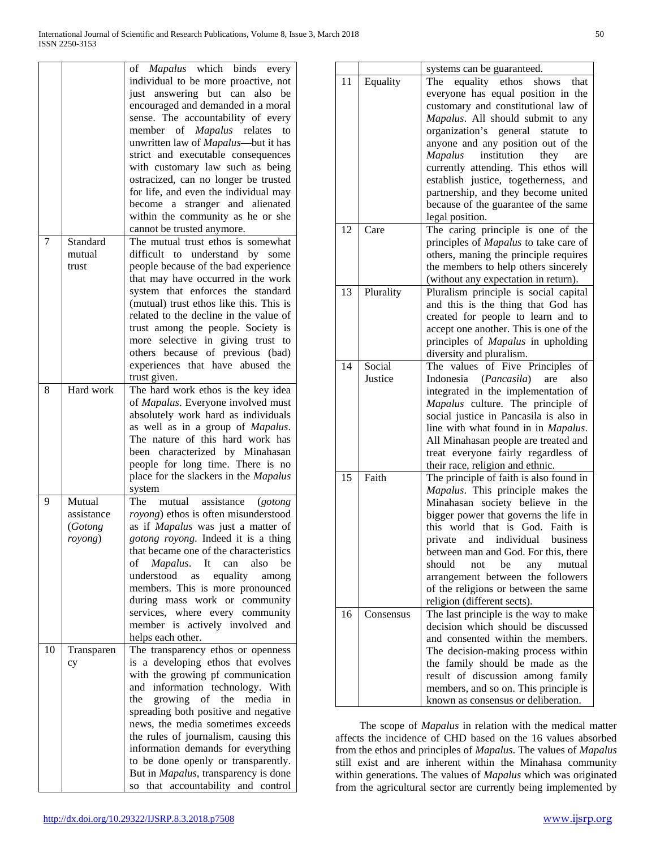|    |                                            | of Mapalus which binds every<br>individual to be more proactive, not<br>just answering but can also<br>be<br>encouraged and demanded in a moral<br>sense. The accountability of every<br>member of <i>Mapalus</i> relates<br>to<br>unwritten law of Mapalus-but it has<br>strict and executable consequences<br>with customary law such as being<br>ostracized, can no longer be trusted<br>for life, and even the individual may<br>stranger and alienated<br>become a<br>within the community as he or she<br>cannot be trusted anymore. |
|----|--------------------------------------------|--------------------------------------------------------------------------------------------------------------------------------------------------------------------------------------------------------------------------------------------------------------------------------------------------------------------------------------------------------------------------------------------------------------------------------------------------------------------------------------------------------------------------------------------|
| 7  | Standard<br>mutual<br>trust                | The mutual trust ethos is somewhat<br>difficult to understand<br>by some<br>people because of the bad experience<br>that may have occurred in the work<br>system that enforces the standard<br>(mutual) trust ethos like this. This is<br>related to the decline in the value of<br>trust among the people. Society is<br>more selective in giving trust to<br>others because of previous (bad)<br>experiences that have abused the<br>trust given.                                                                                        |
| 8  | Hard work                                  | The hard work ethos is the key idea<br>of Mapalus. Everyone involved must<br>absolutely work hard as individuals<br>as well as in a group of Mapalus.<br>The nature of this hard work has<br>been characterized by Minahasan<br>people for long time. There is no<br>place for the slackers in the Mapalus<br>system                                                                                                                                                                                                                       |
| 9  | Mutual<br>assistance<br>(Gotong<br>royong) | mutual assistance<br>The<br>(gotong)<br>royong) ethos is often misunderstood<br>as if Mapalus was just a matter of<br>gotong royong. Indeed it is a thing<br>that became one of the characteristics<br>Mapalus.<br>It can<br>also<br>of<br>be<br>understood as<br>equality<br>among<br>members. This is more pronounced<br>during mass work or community<br>services, where every community<br>member is actively involved<br>and<br>helps each other.                                                                                     |
| 10 | Transparen<br>cy                           | The transparency ethos or openness<br>is a developing ethos that evolves<br>with the growing pf communication<br>and information technology. With<br>the growing of the<br>media<br>in<br>spreading both positive and negative<br>news, the media sometimes exceeds<br>the rules of journalism, causing this<br>information demands for everything<br>to be done openly or transparently.<br>But in Mapalus, transparency is done<br>so that accountability and control                                                                    |

|    |                   | systems can be guaranteed.                                                    |  |
|----|-------------------|-------------------------------------------------------------------------------|--|
| 11 | Equality          | equality ethos<br>shows<br>The<br>that                                        |  |
|    |                   | everyone has equal position in the                                            |  |
|    |                   | customary and constitutional law of                                           |  |
|    |                   | Mapalus. All should submit to any<br>to                                       |  |
|    |                   | organization's general<br>statute<br>anyone and any position out of the       |  |
|    |                   | institution<br>Mapalus<br>they<br>are                                         |  |
|    |                   | currently attending. This ethos will                                          |  |
|    |                   | establish justice, togetherness,<br>and                                       |  |
|    |                   | partnership, and they become united                                           |  |
|    |                   | because of the guarantee of the same                                          |  |
|    |                   | legal position.                                                               |  |
| 12 | Care              | The caring principle is one of the                                            |  |
|    |                   | principles of <i>Mapalus</i> to take care of                                  |  |
|    |                   | others, maning the principle requires<br>the members to help others sincerely |  |
|    |                   | (without any expectation in return).                                          |  |
| 13 | Plurality         | Pluralism principle is social capital                                         |  |
|    |                   | and this is the thing that God has                                            |  |
|    |                   | created for people to learn and to                                            |  |
|    |                   | accept one another. This is one of the                                        |  |
|    |                   | principles of Mapalus in upholding                                            |  |
|    |                   | diversity and pluralism.                                                      |  |
| 14 | Social<br>Justice | The values of Five Principles of<br>Indonesia ( <i>Pancasila</i> )<br>also    |  |
|    |                   | are<br>integrated in the implementation of                                    |  |
|    |                   | Mapalus culture. The principle of                                             |  |
|    |                   | social justice in Pancasila is also in                                        |  |
|    |                   | line with what found in in Mapalus.                                           |  |
|    |                   | All Minahasan people are treated and                                          |  |
|    |                   | treat everyone fairly regardless of                                           |  |
|    |                   | their race, religion and ethnic.                                              |  |
| 15 | Faith             | The principle of faith is also found in                                       |  |
|    |                   | Mapalus. This principle makes the<br>Minahasan society believe in the         |  |
|    |                   | bigger power that governs the life in                                         |  |
|    |                   | this world that is God. Faith is                                              |  |
|    |                   | private and individual business                                               |  |
|    |                   | between man and God. For this, there                                          |  |
|    |                   | should<br>not be<br>any<br>mutual                                             |  |
|    |                   | arrangement between the followers                                             |  |
|    |                   | of the religions or between the same                                          |  |
| 16 | Consensus         | religion (different sects).<br>The last principle is the way to make          |  |
|    |                   | decision which should be discussed                                            |  |
|    |                   | and consented within the members.                                             |  |
|    |                   | The decision-making process within                                            |  |
|    |                   | the family should be made as the                                              |  |
|    |                   | result of discussion among family                                             |  |
|    |                   | members, and so on. This principle is                                         |  |
|    |                   | known as consensus or deliberation.                                           |  |

 The scope of *Mapalus* in relation with the medical matter affects the incidence of CHD based on the 16 values absorbed from the ethos and principles of *Mapalus*. The values of *Mapalus* still exist and are inherent within the Minahasa community within generations. The values of *Mapalus* which was originated from the agricultural sector are currently being implemented by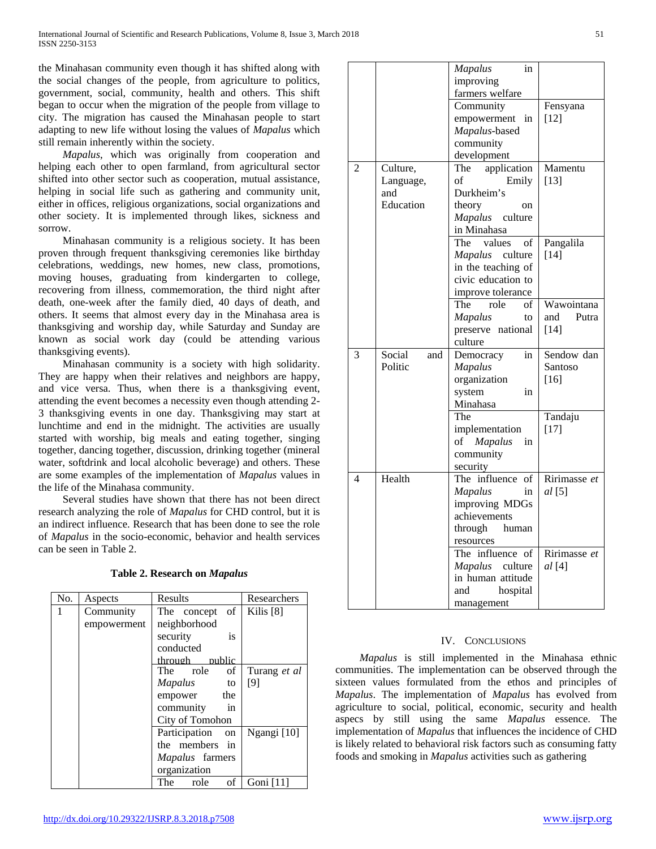the Minahasan community even though it has shifted along with the social changes of the people, from agriculture to politics, government, social, community, health and others. This shift began to occur when the migration of the people from village to city. The migration has caused the Minahasan people to start adapting to new life without losing the values of *Mapalus* which still remain inherently within the society.

 *Mapalus*, which was originally from cooperation and helping each other to open farmland, from agricultural sector shifted into other sector such as cooperation, mutual assistance, helping in social life such as gathering and community unit, either in offices, religious organizations, social organizations and other society. It is implemented through likes, sickness and sorrow.

 Minahasan community is a religious society. It has been proven through frequent thanksgiving ceremonies like birthday celebrations, weddings, new homes, new class, promotions, moving houses, graduating from kindergarten to college, recovering from illness, commemoration, the third night after death, one-week after the family died, 40 days of death, and others. It seems that almost every day in the Minahasa area is thanksgiving and worship day, while Saturday and Sunday are known as social work day (could be attending various thanksgiving events).

 Minahasan community is a society with high solidarity. They are happy when their relatives and neighbors are happy, and vice versa. Thus, when there is a thanksgiving event, attending the event becomes a necessity even though attending 2- 3 thanksgiving events in one day. Thanksgiving may start at lunchtime and end in the midnight. The activities are usually started with worship, big meals and eating together, singing together, dancing together, discussion, drinking together (mineral water, softdrink and local alcoholic beverage) and others. These are some examples of the implementation of *Mapalus* values in the life of the Minahasa community.

 Several studies have shown that there has not been direct research analyzing the role of *Mapalus* for CHD control, but it is an indirect influence. Research that has been done to see the role of *Mapalus* in the socio-economic, behavior and health services can be seen in Table 2.

|  |  | <b>Table 2. Research on Mapalus</b> |
|--|--|-------------------------------------|
|--|--|-------------------------------------|

| No. | Aspects     | Results              | Researchers          |
|-----|-------------|----------------------|----------------------|
| 1   | Community   | of<br>The concept    | Kilis <sup>[8]</sup> |
|     | empowerment | neighborhood         |                      |
|     |             | is<br>security       |                      |
|     |             | conducted            |                      |
|     |             | through public       |                      |
|     |             | The role<br>of       | Turang et al         |
|     |             | <i>Mapalus</i><br>to | [9]                  |
|     |             | empower the          |                      |
|     |             | community<br>in      |                      |
|     |             | City of Tomohon      |                      |
|     |             | Participation<br>on  | Ngangi [10]          |
|     |             | the members in       |                      |
|     |             | Mapalus farmers      |                      |
|     |             | organization         |                      |
|     |             | of<br>role<br>The    | Goni $[11]$          |

| http://dx.doi.org/10.29322/IJSRP.8.3.2018.p7508 |  |
|-------------------------------------------------|--|

|                |               | <b>Mapalus</b><br>in       |              |
|----------------|---------------|----------------------------|--------------|
|                |               | improving                  |              |
|                |               | farmers welfare            |              |
|                |               | Community                  | Fensyana     |
|                |               | empowerment in             | [12]         |
|                |               | Mapalus-based              |              |
|                |               | community                  |              |
|                |               | development                |              |
| $\overline{c}$ | Culture,      | application<br>The         | Mamentu      |
|                | Language,     | of<br>Emily                | $[13]$       |
|                | and           | Durkheim's                 |              |
|                | Education     | theory<br>on               |              |
|                |               | Mapalus culture            |              |
|                |               | in Minahasa                |              |
|                |               | The<br>values<br>of        | Pangalila    |
|                |               | culture<br>Mapalus         | [14]         |
|                |               | in the teaching of         |              |
|                |               | civic education to         |              |
|                |               | improve tolerance          |              |
|                |               | The<br>role<br>of          | Wawointana   |
|                |               | Mapalus<br>to              | Putra<br>and |
|                |               | preserve national          | $[14]$       |
|                |               | culture                    |              |
| 3              | Social<br>and | Democracy<br>in            | Sendow dan   |
|                | Politic       | <b>Mapalus</b>             | Santoso      |
|                |               | organization               | $[16]$       |
|                |               | system<br>in               |              |
|                |               | Minahasa                   |              |
|                |               | The                        | Tandaju      |
|                |               | implementation             | $[17]$       |
|                |               | of<br><b>Mapalus</b><br>in |              |
|                |               | community                  |              |
|                |               | security                   |              |
| 4              | Health        | The influence of           | Ririmasse et |
|                |               | <b>Mapalus</b><br>in       | al[5]        |
|                |               | improving MDGs             |              |
|                |               | achievements               |              |
|                |               | through<br>human           |              |
|                |               | resources                  |              |
|                |               | The influence of           | Ririmasse et |
|                |               | Mapalus<br>culture         | al [4]       |
|                |               | in human attitude          |              |
|                |               | and<br>hospital            |              |
|                |               | management                 |              |
|                |               |                            |              |

## IV. CONCLUSIONS

 *Mapalus* is still implemented in the Minahasa ethnic communities. The implementation can be observed through the sixteen values formulated from the ethos and principles of *Mapalus*. The implementation of *Mapalus* has evolved from agriculture to social, political, economic, security and health aspecs by still using the same *Mapalus* essence. The implementation of *Mapalus* that influences the incidence of CHD is likely related to behavioral risk factors such as consuming fatty foods and smoking in *Mapalus* activities such as gathering